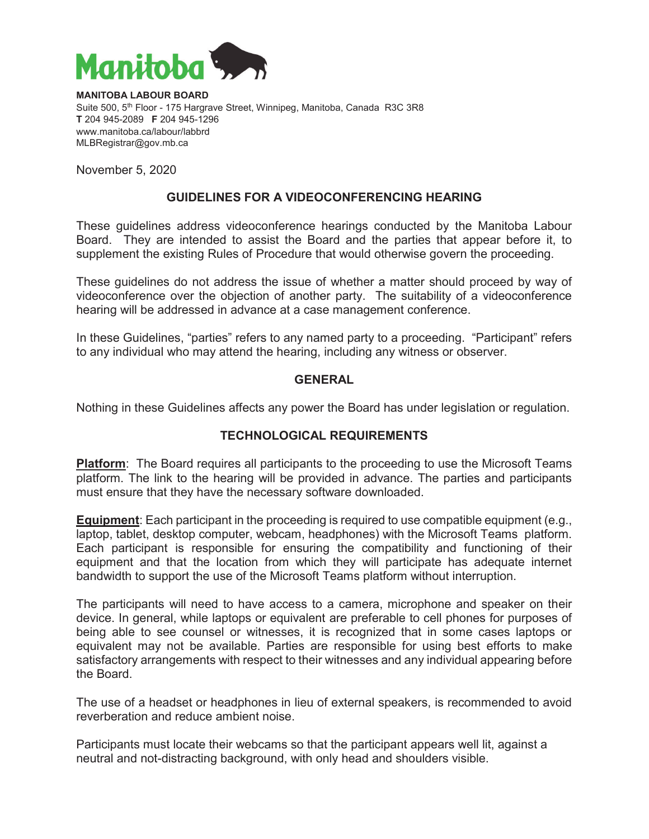

**MANITOBA LABOUR BOARD**  Suite 500, 5<sup>th</sup> Floor - 175 Hargrave Street, Winnipeg, Manitoba, Canada R3C 3R8 **T** 204 945-2089 **F** 204 945-1296 www.manitoba.ca/labour/labbrd MLBRegistrar@gov.mb.ca

November 5, 2020

# **GUIDELINES FOR A VIDEOCONFERENCING HEARING**

These guidelines address videoconference hearings conducted by the Manitoba Labour Board. They are intended to assist the Board and the parties that appear before it, to supplement the existing Rules of Procedure that would otherwise govern the proceeding.

These guidelines do not address the issue of whether a matter should proceed by way of videoconference over the objection of another party. The suitability of a videoconference hearing will be addressed in advance at a case management conference.

In these Guidelines, "parties" refers to any named party to a proceeding. "Participant" refers to any individual who may attend the hearing, including any witness or observer.

### **GENERAL**

Nothing in these Guidelines affects any power the Board has under legislation or regulation.

### **TECHNOLOGICAL REQUIREMENTS**

**Platform**: The Board requires all participants to the proceeding to use the Microsoft Teams platform. The link to the hearing will be provided in advance. The parties and participants must ensure that they have the necessary software downloaded.

**Equipment**: Each participant in the proceeding is required to use compatible equipment (e.g., laptop, tablet, desktop computer, webcam, headphones) with the Microsoft Teams platform. Each participant is responsible for ensuring the compatibility and functioning of their equipment and that the location from which they will participate has adequate internet bandwidth to support the use of the Microsoft Teams platform without interruption.

The participants will need to have access to a camera, microphone and speaker on their device. In general, while laptops or equivalent are preferable to cell phones for purposes of being able to see counsel or witnesses, it is recognized that in some cases laptops or equivalent may not be available. Parties are responsible for using best efforts to make satisfactory arrangements with respect to their witnesses and any individual appearing before the Board.

The use of a headset or headphones in lieu of external speakers, is recommended to avoid reverberation and reduce ambient noise.

Participants must locate their webcams so that the participant appears well lit, against a neutral and not-distracting background, with only head and shoulders visible.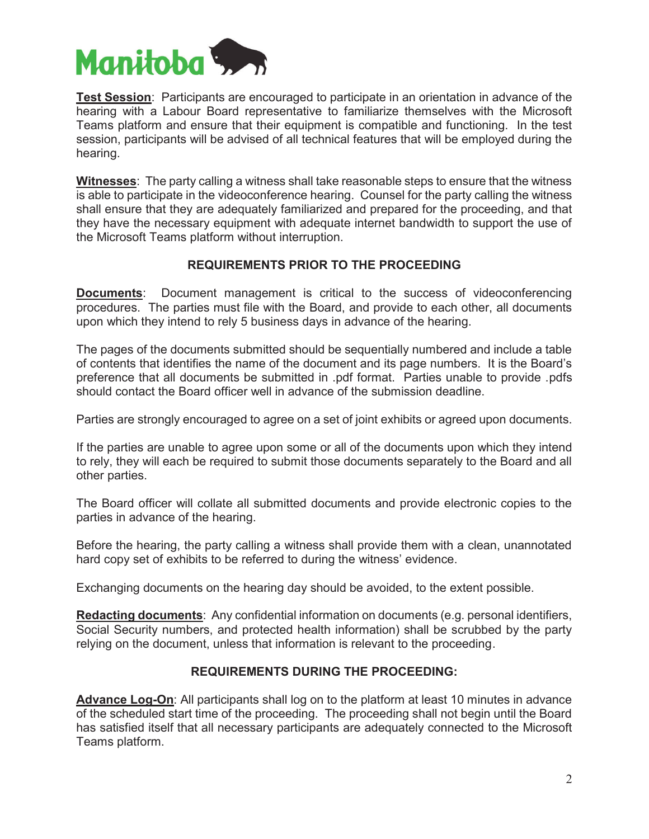

**Test Session**: Participants are encouraged to participate in an orientation in advance of the hearing with a Labour Board representative to familiarize themselves with the Microsoft Teams platform and ensure that their equipment is compatible and functioning. In the test session, participants will be advised of all technical features that will be employed during the hearing.

**Witnesses**: The party calling a witness shall take reasonable steps to ensure that the witness is able to participate in the videoconference hearing. Counsel for the party calling the witness shall ensure that they are adequately familiarized and prepared for the proceeding, and that they have the necessary equipment with adequate internet bandwidth to support the use of the Microsoft Teams platform without interruption.

# **REQUIREMENTS PRIOR TO THE PROCEEDING**

**Documents**: Document management is critical to the success of videoconferencing procedures. The parties must file with the Board, and provide to each other, all documents upon which they intend to rely 5 business days in advance of the hearing.

The pages of the documents submitted should be sequentially numbered and include a table of contents that identifies the name of the document and its page numbers. It is the Board's preference that all documents be submitted in .pdf format. Parties unable to provide .pdfs should contact the Board officer well in advance of the submission deadline.

Parties are strongly encouraged to agree on a set of joint exhibits or agreed upon documents.

If the parties are unable to agree upon some or all of the documents upon which they intend to rely, they will each be required to submit those documents separately to the Board and all other parties.

The Board officer will collate all submitted documents and provide electronic copies to the parties in advance of the hearing.

Before the hearing, the party calling a witness shall provide them with a clean, unannotated hard copy set of exhibits to be referred to during the witness' evidence.

Exchanging documents on the hearing day should be avoided, to the extent possible.

**Redacting documents**: Any confidential information on documents (e.g. personal identifiers, Social Security numbers, and protected health information) shall be scrubbed by the party relying on the document, unless that information is relevant to the proceeding.

# **REQUIREMENTS DURING THE PROCEEDING:**

**Advance Log-On**: All participants shall log on to the platform at least 10 minutes in advance of the scheduled start time of the proceeding. The proceeding shall not begin until the Board has satisfied itself that all necessary participants are adequately connected to the Microsoft Teams platform.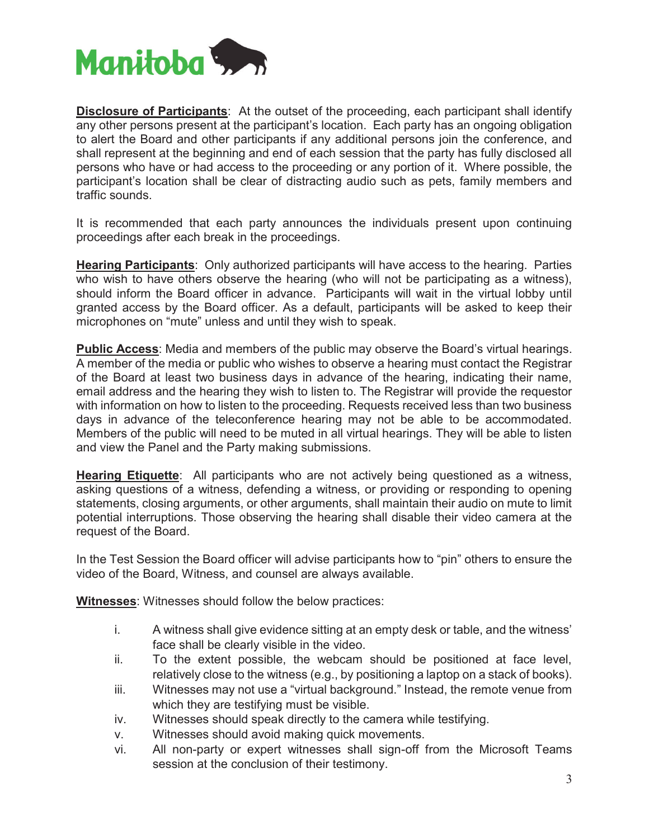

**Disclosure of Participants**: At the outset of the proceeding, each participant shall identify any other persons present at the participant's location. Each party has an ongoing obligation to alert the Board and other participants if any additional persons join the conference, and shall represent at the beginning and end of each session that the party has fully disclosed all persons who have or had access to the proceeding or any portion of it. Where possible, the participant's location shall be clear of distracting audio such as pets, family members and traffic sounds.

It is recommended that each party announces the individuals present upon continuing proceedings after each break in the proceedings.

**Hearing Participants**: Only authorized participants will have access to the hearing. Parties who wish to have others observe the hearing (who will not be participating as a witness), should inform the Board officer in advance. Participants will wait in the virtual lobby until granted access by the Board officer. As a default, participants will be asked to keep their microphones on "mute" unless and until they wish to speak.

**Public Access**: Media and members of the public may observe the Board's virtual hearings. A member of the media or public who wishes to observe a hearing must contact the Registrar of the Board at least two business days in advance of the hearing, indicating their name, email address and the hearing they wish to listen to. The Registrar will provide the requestor with information on how to listen to the proceeding. Requests received less than two business days in advance of the teleconference hearing may not be able to be accommodated. Members of the public will need to be muted in all virtual hearings. They will be able to listen and view the Panel and the Party making submissions.

**Hearing Etiquette**: All participants who are not actively being questioned as a witness, asking questions of a witness, defending a witness, or providing or responding to opening statements, closing arguments, or other arguments, shall maintain their audio on mute to limit potential interruptions. Those observing the hearing shall disable their video camera at the request of the Board.

In the Test Session the Board officer will advise participants how to "pin" others to ensure the video of the Board, Witness, and counsel are always available.

**Witnesses**: Witnesses should follow the below practices:

- i. A witness shall give evidence sitting at an empty desk or table, and the witness' face shall be clearly visible in the video.
- ii. To the extent possible, the webcam should be positioned at face level, relatively close to the witness (e.g., by positioning a laptop on a stack of books).
- iii. Witnesses may not use a "virtual background." Instead, the remote venue from which they are testifying must be visible.
- iv. Witnesses should speak directly to the camera while testifying.
- v. Witnesses should avoid making quick movements.
- vi. All non-party or expert witnesses shall sign-off from the Microsoft Teams session at the conclusion of their testimony.